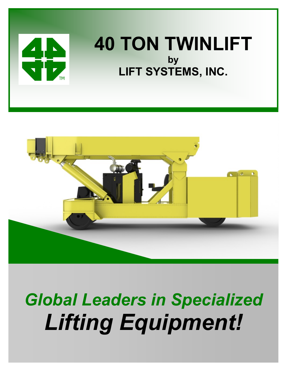

## **40 TON TWINLIFT by LIFT SYSTEMS, INC.**



# *Global Leaders in Specialized Lifting Equipment!*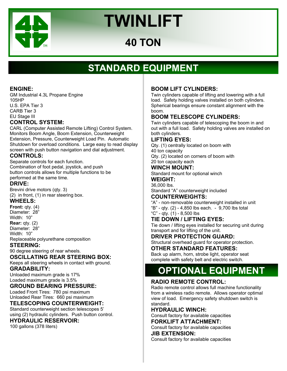

## **40 TON**

## **STANDARD EQUIPMENT**

#### **ENGINE:**

GM Industrial 4.3L Propane Engine 105HP U.S. EPA Tier 3 CARB Tier 3 EU Stage III

#### **CONTROL SYSTEM:**

CARL (Computer Assisted Remote Lifting) Control System. Monitors Boom Angle, Boom Extension, Counterweight Extension, Pressure, Counterweight Load Pin. Automatic Shutdown for overload conditions. Large easy to read display screen with push button navigation and dial adjustment.

#### **CONTROLS:**

Separate controls for each function. Combination of foot pedal, joystick, and push button controls allows for multiple functions to be performed at the same time.

#### **DRIVE:**

Brevini drive motors (qty. 3) (2) in front, (1) in rear steering box.

#### **WHEELS:**

**Front:** qty. (4) Diameter: 28" Width: 10" **Rear:** qty. (2)

Diameter: 28"

Width: 10"

Replaceable polyurethane composition

#### **STEERING:**

90 degree steering of rear wheels.

#### **OSCILLATING REAR STEERING BOX:**

Keeps all steering wheels in contact with ground.

#### **GRADABILITY:**

Unloaded maximum grade is 17% Loaded maximum grade is 3.5%

#### **GROUND BEARING PRESSURE:**

Loaded Front Tires: 780 psi maximum Unloaded Rear Tires: 660 psi maximum

#### **TELESCOPING COUNTERWEIGHT:**

Standard counterweight section telescopes 5' using (2) hydraulic cylinders. Push button control.

#### **HYDRAULIC RESERVOIR:**

100 gallons (378 liters)

#### **BOOM LIFT CYLINDERS:**

Twin cylinders capable of lifting and lowering with a full load. Safety holding valves installed on both cylinders. Spherical bearings ensure constant alignment with the boom.

#### **BOOM TELESCOPE CYLINDERS:**

Twin cylinders capable of telescoping the boom in and out with a full load. Safety holding valves are installed on both cylinders.

#### **LIFTING EYES:**

Qty. (1) centrally located on boom with 40 ton capacity Qty. (2) located on corners of boom with

20 ton capacity each

#### **WINCH MOUNT:**

Standard mount for optional winch

#### **WEIGHT:**  36,000 lbs.

Standard "A" counterweight included

#### **COUNTERWEIGHTS:**

"A" - non-removable counterweight installed in unit "B" - qty. (2) - 4,850 lbs each. - 9,700 lbs total

"C" - qty. (1) - 8,500 lbs

#### **TIE DOWN / LIFTING EYES:**

Tie down / lifting eyes installed for securing unit during transport and for lifting of the unit.

#### **DRIVER PROTECTION GUARD:**

Structural overhead guard for operator protection. **OTHER STANDARD FEATURES:** 

Back up alarm, horn, strobe light, operator seat complete with safety belt and electric switch.

## **OPTIONAL EQUIPMENT**

#### **RADIO REMOTE CONTROL:**

Radio remote control allows full machine functionality from a wireless radio remote. Allows operator optimal view of load. Emergency safety shutdown switch is standard.

#### **HYDRAULIC WINCH:**

Consult factory for available capacities **FORKLIFT ATTACHMENT:** 

Consult factory for available capacities **JIB EXTENSION:** 

Consult factory for available capacities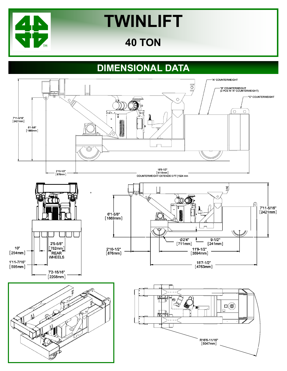

## **40 TON**

## **DIMENSIONAL DATA**

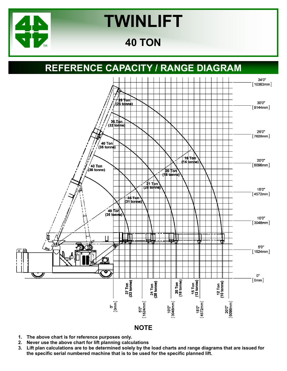

## **40 TON**

### **REFERENCE CAPACITY / RANGE DIAGRAM**



- **1. The above chart is for reference purposes only.**
- **2. Never use the above chart for lift planning calculations**
- **3. Lift plan calculations are to be determined solely by the load charts and range diagrams that are issued for the specific serial numbered machine that is to be used for the specific planned lift.**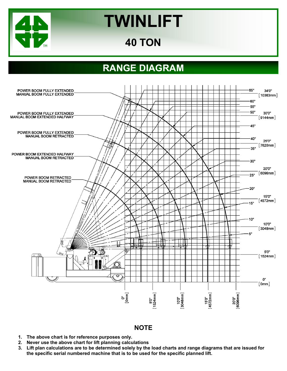

## **40 TON**

## **RANGE DIAGRAM**



#### **NOTE**

- **1. The above chart is for reference purposes only.**
- **2. Never use the above chart for lift planning calculations**
- **3. Lift plan calculations are to be determined solely by the load charts and range diagrams that are issued for the specific serial numbered machine that is to be used for the specific planned lift.**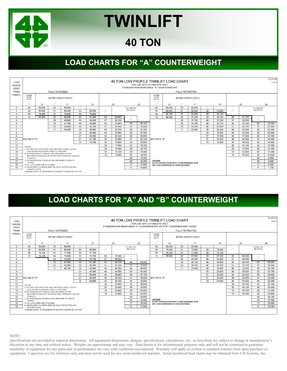

## **40 TON**

### **LOAD CHARTS FOR "A" COUNTERWEIGHT**



### **LOAD CHARTS FOR "A" AND "B" COUNTERWEIGHT**

| LOAD           | 40 TON LOW PROFILE TWINLIFT LOAD CHART |                                                                                           |                       |                                                            |                 |        |                 |             |                     |        |                                              |                                                      |                           |        |                 | <b>TLLC117</b><br>7/27/2001 |    |        |                     |        |  |
|----------------|----------------------------------------|-------------------------------------------------------------------------------------------|-----------------------|------------------------------------------------------------|-----------------|--------|-----------------|-------------|---------------------|--------|----------------------------------------------|------------------------------------------------------|---------------------------|--------|-----------------|-----------------------------|----|--------|---------------------|--------|--|
| <b>RADIUS</b>  | FOR USE WITH LIFTING EYE ONLY          |                                                                                           |                       |                                                            |                 |        |                 |             |                     |        |                                              |                                                      |                           |        |                 |                             |    |        |                     |        |  |
| (FEET          |                                        | STANDARD NON-REMOVABLE "A" COUNTERWEIGHT WITH "B" COUNTERWEIGHT ADDED                     |                       |                                                            |                 |        |                 |             |                     |        |                                              |                                                      |                           |        |                 |                             |    |        |                     |        |  |
| <b>FROM</b>    |                                        |                                                                                           | <b>FULLY EXTENDED</b> |                                                            |                 |        |                 |             |                     |        |                                              |                                                      |                           |        |                 |                             |    |        |                     |        |  |
| <b>FRONT</b>   | LOADED<br><b>BOOM</b><br>ANGLE         |                                                                                           |                       | <b>BOOM LENGTH (FEET)</b>                                  |                 |        |                 |             |                     |        | <b>LOADED</b><br><b>BOOM</b><br><b>ANGLE</b> |                                                      | <b>BOOM LENGTH (FEET)</b> |        |                 |                             |    |        |                     |        |  |
|                |                                        | 13                                                                                        | Δ°                    | 17                                                         |                 | 21     | 25<br>29        |             |                     |        | 13                                           | Ă                                                    | 17                        |        | 21              | 25<br>29                    |    |        |                     |        |  |
| $\Omega$       | 42                                     | 55<br>80.000<br>80.000                                                                    |                       |                                                            |                 |        |                 | FLY SECTION |                     |        | 42                                           | 80.000                                               | 55                        | 80,000 |                 |                             |    |        | FLY SECTION         |        |  |
|                | 35                                     | 80.000<br>80.000<br>51<br>80.000<br>60                                                    |                       |                                                            |                 |        | Ă               |             | SEE NOTES           |        | 35                                           | 79.900                                               | 51                        | 79.600 | 60              | 79.400                      | △  |        | SEE NOTES           |        |  |
| $\overline{2}$ | 26                                     | 78.100                                                                                    | 47                    | 77.800                                                     | 56              | 77.700 |                 |             |                     |        |                                              | 74.200                                               | 47                        | 73,900 | 56              | 73.700                      |    |        |                     |        |  |
| 3              | 13                                     | 42<br>73,800<br>53<br>73.700<br>74.100                                                    |                       |                                                            |                 |        | 60              | 72,300      | $\triangle^{\circ}$ |        | 13                                           | 68.900                                               | 42                        | 67.800 | 53              | 67.200                      | 60 | 68,200 | $\triangle^{\circ}$ |        |  |
| 4              |                                        |                                                                                           | 36                    | 70.200                                                     | 49              | 70.100 | 57              | 68,300      |                     |        |                                              |                                                      | 36                        | 54.300 | 49              | 53.800                      | 57 | 54.600 |                     |        |  |
| 5              |                                        |                                                                                           | 30                    | 61.800                                                     | 46              | 61.300 | 54              | 62.100      | 60                  | 59,000 |                                              |                                                      | 30                        | 45.100 | 46              | 44.600                      | 54 | 45.400 | 60                  | 46,000 |  |
| 6.             | 23<br>52.900<br>42<br>52.400           |                                                                                           |                       |                                                            |                 |        |                 | 53.100      | 57                  | 53,600 |                                              |                                                      | 23                        | 38,500 | 42              | 38,000                      | 51 | 38,700 | 57                  | 39,200 |  |
| $\overline{ }$ | 38<br>11<br>46.100<br>45.600           |                                                                                           |                       |                                                            |                 |        |                 | 46.300      | 55                  | 46.800 |                                              |                                                      | 11                        | 33.400 | 38              | 32.900                      | 48 | 33,600 | 55                  | 34.100 |  |
| 8              |                                        |                                                                                           |                       |                                                            | 33              | 40.300 | 45              | 40.900      | 53                  | 41.400 |                                              |                                                      |                           |        | 33              | 29,000                      | 45 | 29,600 | 53                  | 30,100 |  |
| 9              |                                        |                                                                                           |                       |                                                            | 27              | 36,000 | 42              | 36,600      | 50                  | 37.100 |                                              |                                                      |                           |        | 27              | 25,800                      | 42 | 26,400 | 50                  | 26,800 |  |
| 10             | <b>SEE NOTE "E"</b>                    |                                                                                           |                       |                                                            | 21              | 32.500 | 38              | 33.100      | 47                  | 33.500 |                                              | 21<br>23.200<br>38<br>23.800<br><b>ISEE NOTE "E"</b> |                           |        |                 |                             | 47 | 24.200 |                     |        |  |
| 11             |                                        |                                                                                           |                       |                                                            | 10 <sup>1</sup> | 29,600 | 34              | 30.100      | 45                  | 30.500 |                                              |                                                      |                           |        | 10 <sup>1</sup> | 21.000                      | 34 | 21.600 | 45                  | 22.000 |  |
| 12             | NOTES:                                 |                                                                                           |                       |                                                            |                 |        | 30              | 27.600      | 42                  | 28,000 |                                              |                                                      |                           |        |                 |                             | 30 | 19.700 | 42                  | 20.100 |  |
| 13             |                                        |                                                                                           |                       | A) FLY SECTION CAPACITIES ARE LIMITED BY ANGLE. DO NOT     |                 |        | 25              | 25.400      | 39                  | 25,800 |                                              |                                                      |                           |        |                 |                             | 25 | 18.100 | 39                  | 18.400 |  |
| 14             |                                        | USE LOAD RADIUS WHEN USING FLY SECTION<br>B) RATINGS ABOVE THE BOLD LINE ARE BASED ON THE |                       |                                                            |                 |        | 19              | 23.500      | 35                  | 23.900 |                                              |                                                      |                           |        |                 |                             | 19 | 16.700 | 35                  | 17.000 |  |
| 15             |                                        |                                                                                           |                       | MACHINE'S HYDRAULIC OR STRUCTURAL STRENGTH AND NOT         |                 |        | 10 <sup>1</sup> | 21.900      | 32                  | 22.200 |                                              |                                                      |                           |        |                 |                             | 10 | 15.400 | 32                  | 15,800 |  |
| 16             | STABILITY.                             |                                                                                           |                       | C) RATINGS BELOW THE BOLD LINE ARE BASED ON 85% OF         |                 |        |                 |             | 28                  | 20,800 |                                              |                                                      |                           |        |                 |                             |    |        | 28                  | 14,700 |  |
| 17             | <b>TIPPING</b>                         |                                                                                           |                       |                                                            |                 |        |                 |             | 23                  | 19.400 | <b>CAUTION!</b>                              | DO NOT EXTEND OR RETRACT COUNTERWEIGHT WITH          |                           |        |                 |                             |    |        | 23                  | 13.700 |  |
| 18             |                                        | D) ALL CAPACITIES ARE IN POUNDS.                                                          |                       |                                                            |                 |        |                 |             | 17                  | 18.300 |                                              | ANY LOAD SUSPENDED ON HOOK OR FORKS.                 |                           |        |                 |                             |    |        | 17                  | 12.800 |  |
| 19             | AGAINST STOPS.                         |                                                                                           |                       | E) TELESCOPE CYLINDERS MUST BE FULLY RETRACTED AND         |                 |        |                 |             | $\Omega$            | 17.200 |                                              |                                                      |                           |        |                 |                             |    |        | 9                   | 12.000 |  |
|                |                                        |                                                                                           |                       | F) BOOM LENGTH IS FROM REAR OF BOOM TO CENTER OF LIFT EYE. |                 |        |                 |             |                     |        |                                              |                                                      |                           |        |                 |                             |    |        |                     |        |  |

NOTE:

Specifications are provided in imperial dimensions. All equipment dimensions, designs, specifications, calculations, etc., as described, are subject to change at manufacturer's discretion at any time and without notice. Weights are approximate and may vary. Data herein is for informational purposes only and will not be construed to guarantee suitability of equipment for any particular as performance my vary with conditions encountered. Warranty will apply as written in standard contract form upon purchase of equipment. Capacities are for reference only and must not be used for any serial numbered machine. Serial numbered load charts may be obtained from Lift Systems, Inc.